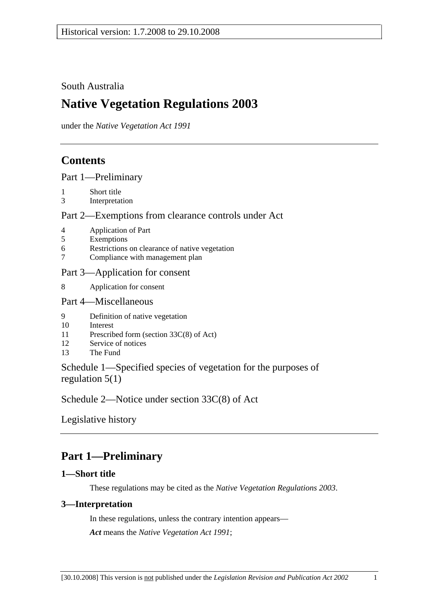### South Australia

# **Native Vegetation Regulations 2003**

under the *Native Vegetation Act 1991*

## **Contents**

Part 1—Preliminary

- 1 Short title
- 3 Interpretation

### Part 2—Exemptions from clearance controls under Act

- 4 Application of Part
- 5 Exemptions
- 6 Restrictions on clearance of native vegetation
- 7 Compliance with management plan

### Part 3—Application for consent

8 Application for consent

### Part 4—Miscellaneous

- 9 Definition of native vegetation
- 10 Interest
- 11 Prescribed form (section 33C(8) of Act)
- 12 Service of notices
- 13 The Fund

Schedule 1—Specified species of vegetation for the purposes of regulation 5(1)

Schedule 2—Notice under section 33C(8) of Act

Legislative history

# **Part 1—Preliminary**

### **1—Short title**

These regulations may be cited as the *Native Vegetation Regulations 2003*.

### **3—Interpretation**

In these regulations, unless the contrary intention appears— *Act* means the *Native Vegetation Act 1991*;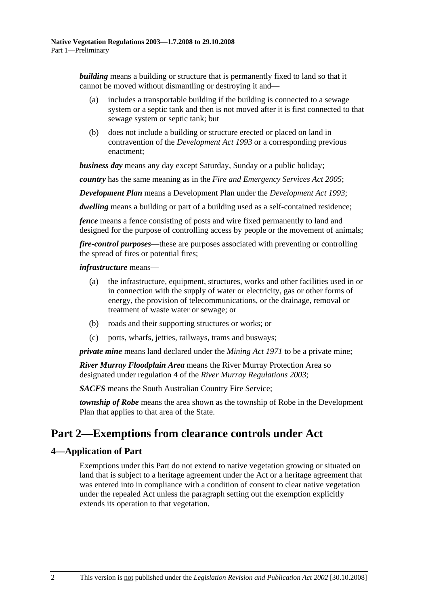*building* means a building or structure that is permanently fixed to land so that it cannot be moved without dismantling or destroying it and—

- (a) includes a transportable building if the building is connected to a sewage system or a septic tank and then is not moved after it is first connected to that sewage system or septic tank; but
- (b) does not include a building or structure erected or placed on land in contravention of the *Development Act 1993* or a corresponding previous enactment;

*business day* means any day except Saturday, Sunday or a public holiday;

*country* has the same meaning as in the *Fire and Emergency Services Act 2005*;

*Development Plan* means a Development Plan under the *Development Act 1993*;

*dwelling* means a building or part of a building used as a self-contained residence;

*fence* means a fence consisting of posts and wire fixed permanently to land and designed for the purpose of controlling access by people or the movement of animals;

*fire-control purposes*—these are purposes associated with preventing or controlling the spread of fires or potential fires;

#### *infrastructure* means—

- (a) the infrastructure, equipment, structures, works and other facilities used in or in connection with the supply of water or electricity, gas or other forms of energy, the provision of telecommunications, or the drainage, removal or treatment of waste water or sewage; or
- (b) roads and their supporting structures or works; or
- (c) ports, wharfs, jetties, railways, trams and busways;

*private mine* means land declared under the *Mining Act 1971* to be a private mine;

*River Murray Floodplain Area* means the River Murray Protection Area so designated under regulation 4 of the *River Murray Regulations 2003*;

*SACFS* means the South Australian Country Fire Service;

*township of Robe* means the area shown as the township of Robe in the Development Plan that applies to that area of the State.

## **Part 2—Exemptions from clearance controls under Act**

### **4—Application of Part**

Exemptions under this Part do not extend to native vegetation growing or situated on land that is subject to a heritage agreement under the Act or a heritage agreement that was entered into in compliance with a condition of consent to clear native vegetation under the repealed Act unless the paragraph setting out the exemption explicitly extends its operation to that vegetation.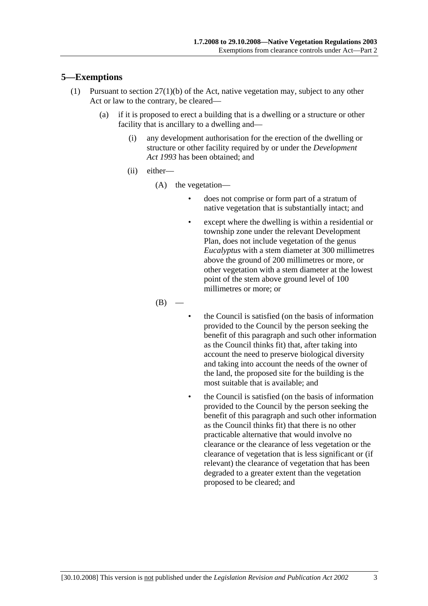### **5—Exemptions**

- (1) Pursuant to section 27(1)(b) of the Act, native vegetation may, subject to any other Act or law to the contrary, be cleared—
	- (a) if it is proposed to erect a building that is a dwelling or a structure or other facility that is ancillary to a dwelling and—
		- (i) any development authorisation for the erection of the dwelling or structure or other facility required by or under the *Development Act 1993* has been obtained; and
		- (ii) either—
			- (A) the vegetation—
				- does not comprise or form part of a stratum of native vegetation that is substantially intact; and
				- except where the dwelling is within a residential or township zone under the relevant Development Plan, does not include vegetation of the genus *Eucalyptus* with a stem diameter at 300 millimetres above the ground of 200 millimetres or more, or other vegetation with a stem diameter at the lowest point of the stem above ground level of 100 millimetres or more; or

 $(B)$ 

- the Council is satisfied (on the basis of information provided to the Council by the person seeking the benefit of this paragraph and such other information as the Council thinks fit) that, after taking into account the need to preserve biological diversity and taking into account the needs of the owner of the land, the proposed site for the building is the most suitable that is available; and
- the Council is satisfied (on the basis of information provided to the Council by the person seeking the benefit of this paragraph and such other information as the Council thinks fit) that there is no other practicable alternative that would involve no clearance or the clearance of less vegetation or the clearance of vegetation that is less significant or (if relevant) the clearance of vegetation that has been degraded to a greater extent than the vegetation proposed to be cleared; and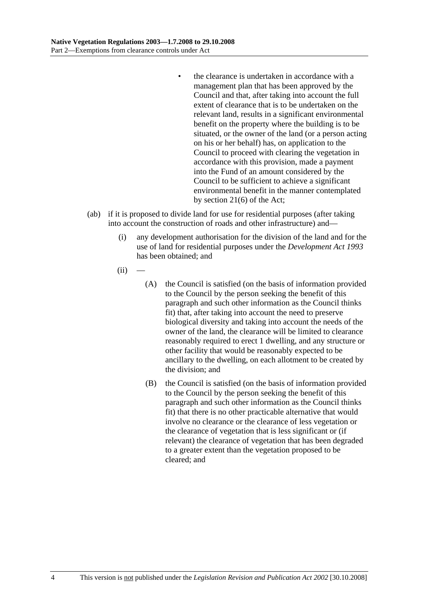- the clearance is undertaken in accordance with a management plan that has been approved by the Council and that, after taking into account the full extent of clearance that is to be undertaken on the relevant land, results in a significant environmental benefit on the property where the building is to be situated, or the owner of the land (or a person acting on his or her behalf) has, on application to the Council to proceed with clearing the vegetation in accordance with this provision, made a payment into the Fund of an amount considered by the Council to be sufficient to achieve a significant environmental benefit in the manner contemplated by section 21(6) of the Act;
- (ab) if it is proposed to divide land for use for residential purposes (after taking into account the construction of roads and other infrastructure) and—
	- (i) any development authorisation for the division of the land and for the use of land for residential purposes under the *Development Act 1993* has been obtained; and
	- $(ii)$ 
		- (A) the Council is satisfied (on the basis of information provided to the Council by the person seeking the benefit of this paragraph and such other information as the Council thinks fit) that, after taking into account the need to preserve biological diversity and taking into account the needs of the owner of the land, the clearance will be limited to clearance reasonably required to erect 1 dwelling, and any structure or other facility that would be reasonably expected to be ancillary to the dwelling, on each allotment to be created by the division; and
		- (B) the Council is satisfied (on the basis of information provided to the Council by the person seeking the benefit of this paragraph and such other information as the Council thinks fit) that there is no other practicable alternative that would involve no clearance or the clearance of less vegetation or the clearance of vegetation that is less significant or (if relevant) the clearance of vegetation that has been degraded to a greater extent than the vegetation proposed to be cleared; and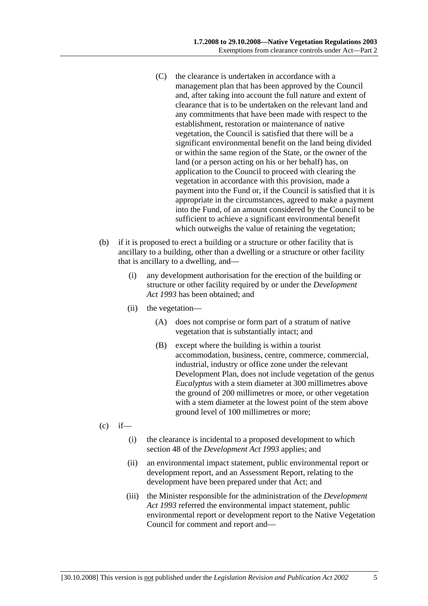- (C) the clearance is undertaken in accordance with a management plan that has been approved by the Council and, after taking into account the full nature and extent of clearance that is to be undertaken on the relevant land and any commitments that have been made with respect to the establishment, restoration or maintenance of native vegetation, the Council is satisfied that there will be a significant environmental benefit on the land being divided or within the same region of the State, or the owner of the land (or a person acting on his or her behalf) has, on application to the Council to proceed with clearing the vegetation in accordance with this provision, made a payment into the Fund or, if the Council is satisfied that it is appropriate in the circumstances, agreed to make a payment into the Fund, of an amount considered by the Council to be sufficient to achieve a significant environmental benefit which outweighs the value of retaining the vegetation;
- (b) if it is proposed to erect a building or a structure or other facility that is ancillary to a building, other than a dwelling or a structure or other facility that is ancillary to a dwelling, and—
	- (i) any development authorisation for the erection of the building or structure or other facility required by or under the *Development Act 1993* has been obtained; and
	- (ii) the vegetation—
		- (A) does not comprise or form part of a stratum of native vegetation that is substantially intact; and
		- (B) except where the building is within a tourist accommodation, business, centre, commerce, commercial, industrial, industry or office zone under the relevant Development Plan, does not include vegetation of the genus *Eucalyptus* with a stem diameter at 300 millimetres above the ground of 200 millimetres or more, or other vegetation with a stem diameter at the lowest point of the stem above ground level of 100 millimetres or more;
- $(c)$  if—
	- (i) the clearance is incidental to a proposed development to which section 48 of the *Development Act 1993* applies; and
	- (ii) an environmental impact statement, public environmental report or development report, and an Assessment Report, relating to the development have been prepared under that Act; and
	- (iii) the Minister responsible for the administration of the *Development Act 1993* referred the environmental impact statement, public environmental report or development report to the Native Vegetation Council for comment and report and—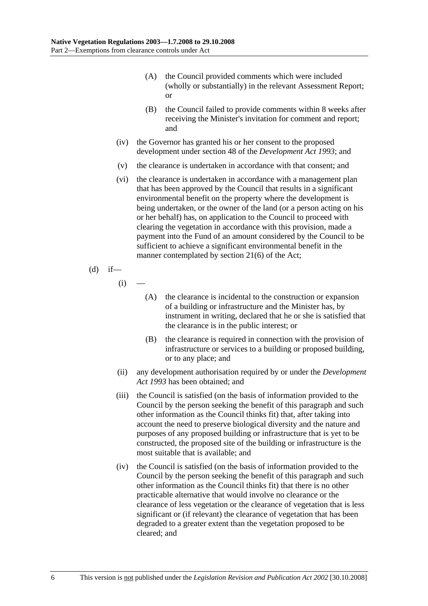- (A) the Council provided comments which were included (wholly or substantially) in the relevant Assessment Report; or
- (B) the Council failed to provide comments within 8 weeks after receiving the Minister's invitation for comment and report; and
- (iv) the Governor has granted his or her consent to the proposed development under section 48 of the *Development Act 1993*; and
- (v) the clearance is undertaken in accordance with that consent; and
- (vi) the clearance is undertaken in accordance with a management plan that has been approved by the Council that results in a significant environmental benefit on the property where the development is being undertaken, or the owner of the land (or a person acting on his or her behalf) has, on application to the Council to proceed with clearing the vegetation in accordance with this provision, made a payment into the Fund of an amount considered by the Council to be sufficient to achieve a significant environmental benefit in the manner contemplated by section 21(6) of the Act;

(d) if—

 $(i)$ 

- (A) the clearance is incidental to the construction or expansion of a building or infrastructure and the Minister has, by instrument in writing, declared that he or she is satisfied that the clearance is in the public interest; or
- (B) the clearance is required in connection with the provision of infrastructure or services to a building or proposed building, or to any place; and
- (ii) any development authorisation required by or under the *Development Act 1993* has been obtained; and
- (iii) the Council is satisfied (on the basis of information provided to the Council by the person seeking the benefit of this paragraph and such other information as the Council thinks fit) that, after taking into account the need to preserve biological diversity and the nature and purposes of any proposed building or infrastructure that is yet to be constructed, the proposed site of the building or infrastructure is the most suitable that is available; and
- (iv) the Council is satisfied (on the basis of information provided to the Council by the person seeking the benefit of this paragraph and such other information as the Council thinks fit) that there is no other practicable alternative that would involve no clearance or the clearance of less vegetation or the clearance of vegetation that is less significant or (if relevant) the clearance of vegetation that has been degraded to a greater extent than the vegetation proposed to be cleared; and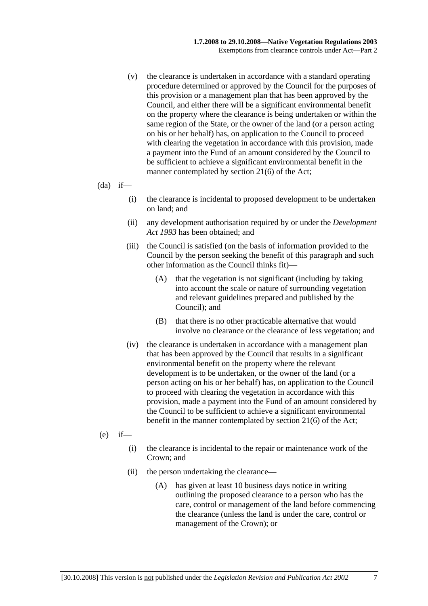- (v) the clearance is undertaken in accordance with a standard operating procedure determined or approved by the Council for the purposes of this provision or a management plan that has been approved by the Council, and either there will be a significant environmental benefit on the property where the clearance is being undertaken or within the same region of the State, or the owner of the land (or a person acting on his or her behalf) has, on application to the Council to proceed with clearing the vegetation in accordance with this provision, made a payment into the Fund of an amount considered by the Council to be sufficient to achieve a significant environmental benefit in the manner contemplated by section 21(6) of the Act;
- $(da)$  if—
	- (i) the clearance is incidental to proposed development to be undertaken on land; and
	- (ii) any development authorisation required by or under the *Development Act 1993* has been obtained; and
	- (iii) the Council is satisfied (on the basis of information provided to the Council by the person seeking the benefit of this paragraph and such other information as the Council thinks fit)—
		- (A) that the vegetation is not significant (including by taking into account the scale or nature of surrounding vegetation and relevant guidelines prepared and published by the Council); and
		- (B) that there is no other practicable alternative that would involve no clearance or the clearance of less vegetation; and
	- (iv) the clearance is undertaken in accordance with a management plan that has been approved by the Council that results in a significant environmental benefit on the property where the relevant development is to be undertaken, or the owner of the land (or a person acting on his or her behalf) has, on application to the Council to proceed with clearing the vegetation in accordance with this provision, made a payment into the Fund of an amount considered by the Council to be sufficient to achieve a significant environmental benefit in the manner contemplated by section 21(6) of the Act;
- $(e)$  if—
	- (i) the clearance is incidental to the repair or maintenance work of the Crown; and
	- (ii) the person undertaking the clearance—
		- (A) has given at least 10 business days notice in writing outlining the proposed clearance to a person who has the care, control or management of the land before commencing the clearance (unless the land is under the care, control or management of the Crown); or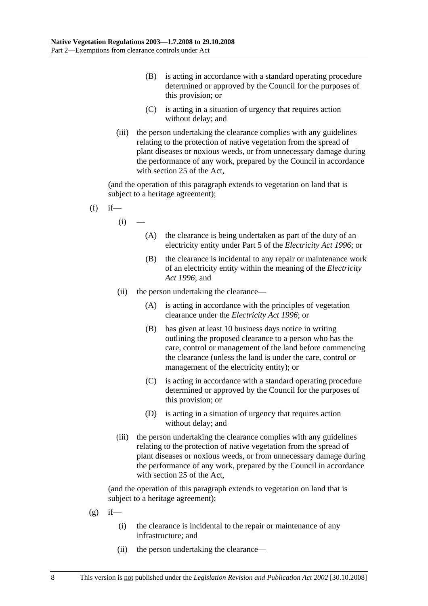- (B) is acting in accordance with a standard operating procedure determined or approved by the Council for the purposes of this provision; or
- (C) is acting in a situation of urgency that requires action without delay; and
- (iii) the person undertaking the clearance complies with any guidelines relating to the protection of native vegetation from the spread of plant diseases or noxious weeds, or from unnecessary damage during the performance of any work, prepared by the Council in accordance with section 25 of the Act,

(and the operation of this paragraph extends to vegetation on land that is subject to a heritage agreement);

- $(f)$  if
	- $(i)$
- (A) the clearance is being undertaken as part of the duty of an electricity entity under Part 5 of the *Electricity Act 1996*; or
- (B) the clearance is incidental to any repair or maintenance work of an electricity entity within the meaning of the *Electricity Act 1996*; and
- (ii) the person undertaking the clearance—
	- (A) is acting in accordance with the principles of vegetation clearance under the *Electricity Act 1996*; or
	- (B) has given at least 10 business days notice in writing outlining the proposed clearance to a person who has the care, control or management of the land before commencing the clearance (unless the land is under the care, control or management of the electricity entity); or
	- (C) is acting in accordance with a standard operating procedure determined or approved by the Council for the purposes of this provision; or
	- (D) is acting in a situation of urgency that requires action without delay; and
- (iii) the person undertaking the clearance complies with any guidelines relating to the protection of native vegetation from the spread of plant diseases or noxious weeds, or from unnecessary damage during the performance of any work, prepared by the Council in accordance with section 25 of the Act,

- $(g)$  if—
	- (i) the clearance is incidental to the repair or maintenance of any infrastructure; and
	- (ii) the person undertaking the clearance—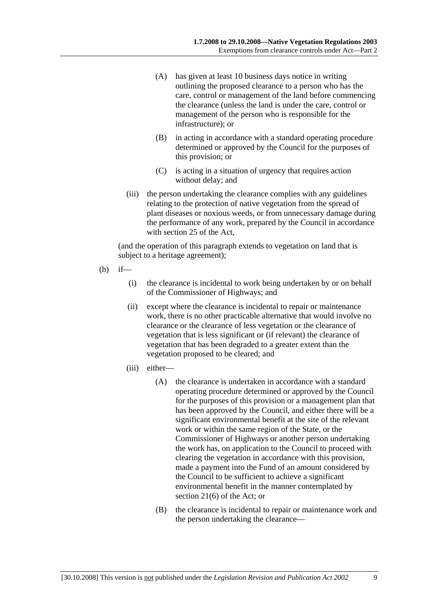- (A) has given at least 10 business days notice in writing outlining the proposed clearance to a person who has the care, control or management of the land before commencing the clearance (unless the land is under the care, control or management of the person who is responsible for the infrastructure); or
- (B) in acting in accordance with a standard operating procedure determined or approved by the Council for the purposes of this provision; or
- (C) is acting in a situation of urgency that requires action without delay; and
- (iii) the person undertaking the clearance complies with any guidelines relating to the protection of native vegetation from the spread of plant diseases or noxious weeds, or from unnecessary damage during the performance of any work, prepared by the Council in accordance with section 25 of the Act,

- $(h)$  if—
	- (i) the clearance is incidental to work being undertaken by or on behalf of the Commissioner of Highways; and
	- (ii) except where the clearance is incidental to repair or maintenance work, there is no other practicable alternative that would involve no clearance or the clearance of less vegetation or the clearance of vegetation that is less significant or (if relevant) the clearance of vegetation that has been degraded to a greater extent than the vegetation proposed to be cleared; and
	- (iii) either—
		- (A) the clearance is undertaken in accordance with a standard operating procedure determined or approved by the Council for the purposes of this provision or a management plan that has been approved by the Council, and either there will be a significant environmental benefit at the site of the relevant work or within the same region of the State, or the Commissioner of Highways or another person undertaking the work has, on application to the Council to proceed with clearing the vegetation in accordance with this provision, made a payment into the Fund of an amount considered by the Council to be sufficient to achieve a significant environmental benefit in the manner contemplated by section 21(6) of the Act; or
		- (B) the clearance is incidental to repair or maintenance work and the person undertaking the clearance—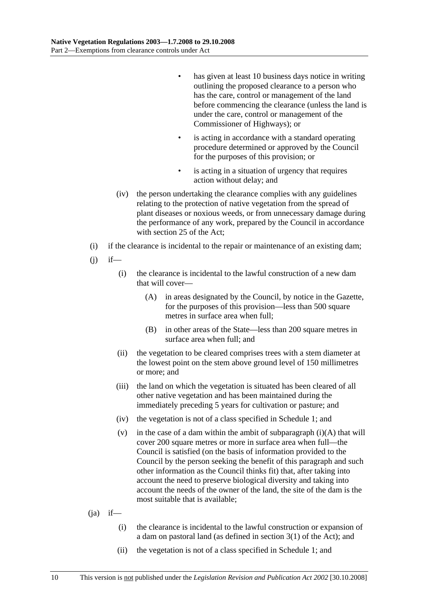- has given at least 10 business days notice in writing outlining the proposed clearance to a person who has the care, control or management of the land before commencing the clearance (unless the land is under the care, control or management of the Commissioner of Highways); or
- is acting in accordance with a standard operating procedure determined or approved by the Council for the purposes of this provision; or
- is acting in a situation of urgency that requires action without delay; and
- (iv) the person undertaking the clearance complies with any guidelines relating to the protection of native vegetation from the spread of plant diseases or noxious weeds, or from unnecessary damage during the performance of any work, prepared by the Council in accordance with section 25 of the Act;
- (i) if the clearance is incidental to the repair or maintenance of an existing dam;
- $(i)$  if—
	- (i) the clearance is incidental to the lawful construction of a new dam that will cover—
		- (A) in areas designated by the Council, by notice in the Gazette, for the purposes of this provision—less than 500 square metres in surface area when full;
		- (B) in other areas of the State—less than 200 square metres in surface area when full; and
	- (ii) the vegetation to be cleared comprises trees with a stem diameter at the lowest point on the stem above ground level of 150 millimetres or more; and
	- (iii) the land on which the vegetation is situated has been cleared of all other native vegetation and has been maintained during the immediately preceding 5 years for cultivation or pasture; and
	- (iv) the vegetation is not of a class specified in Schedule 1; and
	- (v) in the case of a dam within the ambit of subparagraph  $(i)(A)$  that will cover 200 square metres or more in surface area when full—the Council is satisfied (on the basis of information provided to the Council by the person seeking the benefit of this paragraph and such other information as the Council thinks fit) that, after taking into account the need to preserve biological diversity and taking into account the needs of the owner of the land, the site of the dam is the most suitable that is available;

### $(i)$  if—

- (i) the clearance is incidental to the lawful construction or expansion of a dam on pastoral land (as defined in section 3(1) of the Act); and
- (ii) the vegetation is not of a class specified in Schedule 1; and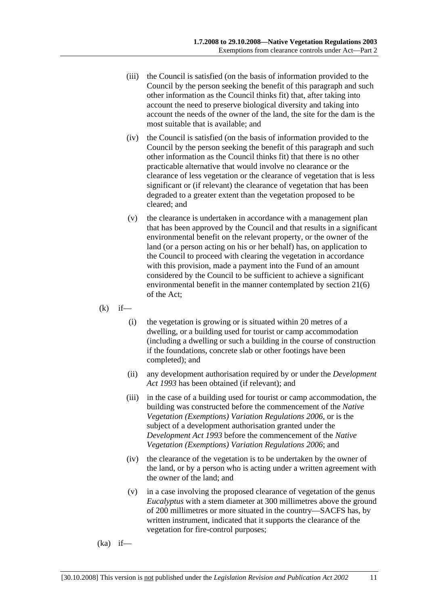- (iii) the Council is satisfied (on the basis of information provided to the Council by the person seeking the benefit of this paragraph and such other information as the Council thinks fit) that, after taking into account the need to preserve biological diversity and taking into account the needs of the owner of the land, the site for the dam is the most suitable that is available; and
- (iv) the Council is satisfied (on the basis of information provided to the Council by the person seeking the benefit of this paragraph and such other information as the Council thinks fit) that there is no other practicable alternative that would involve no clearance or the clearance of less vegetation or the clearance of vegetation that is less significant or (if relevant) the clearance of vegetation that has been degraded to a greater extent than the vegetation proposed to be cleared; and
- (v) the clearance is undertaken in accordance with a management plan that has been approved by the Council and that results in a significant environmental benefit on the relevant property, or the owner of the land (or a person acting on his or her behalf) has, on application to the Council to proceed with clearing the vegetation in accordance with this provision, made a payment into the Fund of an amount considered by the Council to be sufficient to achieve a significant environmental benefit in the manner contemplated by section 21(6) of the Act;
- $(k)$  if—
	- (i) the vegetation is growing or is situated within 20 metres of a dwelling, or a building used for tourist or camp accommodation (including a dwelling or such a building in the course of construction if the foundations, concrete slab or other footings have been completed); and
	- (ii) any development authorisation required by or under the *Development Act 1993* has been obtained (if relevant); and
	- (iii) in the case of a building used for tourist or camp accommodation, the building was constructed before the commencement of the *Native Vegetation (Exemptions) Variation Regulations 2006*, or is the subject of a development authorisation granted under the *Development Act 1993* before the commencement of the *Native Vegetation (Exemptions) Variation Regulations 2006*; and
	- (iv) the clearance of the vegetation is to be undertaken by the owner of the land, or by a person who is acting under a written agreement with the owner of the land; and
	- (v) in a case involving the proposed clearance of vegetation of the genus *Eucalyptus* with a stem diameter at 300 millimetres above the ground of 200 millimetres or more situated in the country—SACFS has, by written instrument, indicated that it supports the clearance of the vegetation for fire-control purposes;
- $(ka)$  if—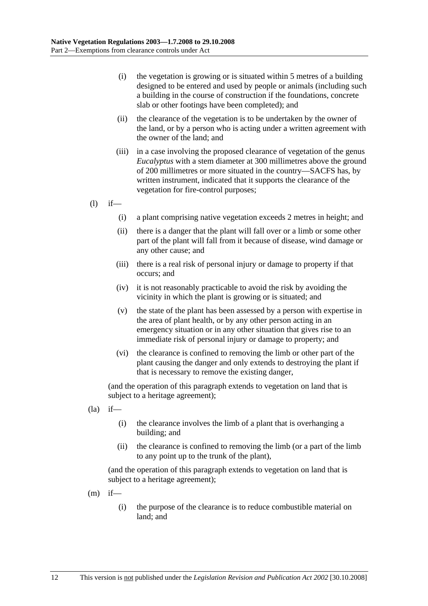- (i) the vegetation is growing or is situated within 5 metres of a building designed to be entered and used by people or animals (including such a building in the course of construction if the foundations, concrete slab or other footings have been completed); and
- (ii) the clearance of the vegetation is to be undertaken by the owner of the land, or by a person who is acting under a written agreement with the owner of the land; and
- (iii) in a case involving the proposed clearance of vegetation of the genus *Eucalyptus* with a stem diameter at 300 millimetres above the ground of 200 millimetres or more situated in the country—SACFS has, by written instrument, indicated that it supports the clearance of the vegetation for fire-control purposes;
- $(l)$  if—
	- (i) a plant comprising native vegetation exceeds 2 metres in height; and
	- (ii) there is a danger that the plant will fall over or a limb or some other part of the plant will fall from it because of disease, wind damage or any other cause; and
	- (iii) there is a real risk of personal injury or damage to property if that occurs; and
	- (iv) it is not reasonably practicable to avoid the risk by avoiding the vicinity in which the plant is growing or is situated; and
	- (v) the state of the plant has been assessed by a person with expertise in the area of plant health, or by any other person acting in an emergency situation or in any other situation that gives rise to an immediate risk of personal injury or damage to property; and
	- (vi) the clearance is confined to removing the limb or other part of the plant causing the danger and only extends to destroying the plant if that is necessary to remove the existing danger,

(and the operation of this paragraph extends to vegetation on land that is subject to a heritage agreement);

- $(la)$  if—
	- (i) the clearance involves the limb of a plant that is overhanging a building; and
	- (ii) the clearance is confined to removing the limb (or a part of the limb to any point up to the trunk of the plant),

- $(m)$  if—
	- (i) the purpose of the clearance is to reduce combustible material on land; and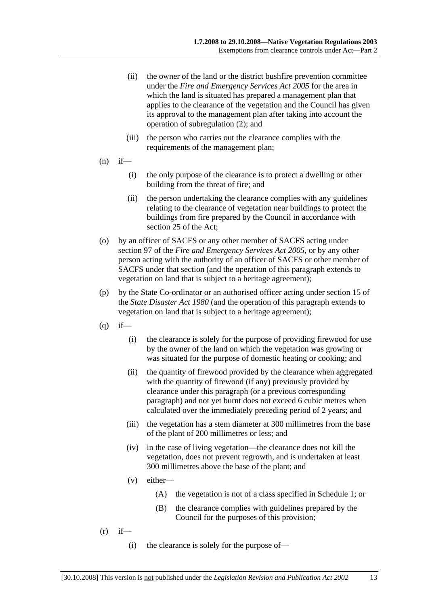- (ii) the owner of the land or the district bushfire prevention committee under the *Fire and Emergency Services Act 2005* for the area in which the land is situated has prepared a management plan that applies to the clearance of the vegetation and the Council has given its approval to the management plan after taking into account the operation of subregulation (2); and
- (iii) the person who carries out the clearance complies with the requirements of the management plan;
- $(n)$  if—
	- (i) the only purpose of the clearance is to protect a dwelling or other building from the threat of fire; and
	- (ii) the person undertaking the clearance complies with any guidelines relating to the clearance of vegetation near buildings to protect the buildings from fire prepared by the Council in accordance with section 25 of the Act;
- (o) by an officer of SACFS or any other member of SACFS acting under section 97 of the *Fire and Emergency Services Act 2005*, or by any other person acting with the authority of an officer of SACFS or other member of SACFS under that section (and the operation of this paragraph extends to vegetation on land that is subject to a heritage agreement);
- (p) by the State Co-ordinator or an authorised officer acting under section 15 of the *State Disaster Act 1980* (and the operation of this paragraph extends to vegetation on land that is subject to a heritage agreement);
- $(q)$  if—
	- (i) the clearance is solely for the purpose of providing firewood for use by the owner of the land on which the vegetation was growing or was situated for the purpose of domestic heating or cooking; and
	- (ii) the quantity of firewood provided by the clearance when aggregated with the quantity of firewood (if any) previously provided by clearance under this paragraph (or a previous corresponding paragraph) and not yet burnt does not exceed 6 cubic metres when calculated over the immediately preceding period of 2 years; and
	- (iii) the vegetation has a stem diameter at 300 millimetres from the base of the plant of 200 millimetres or less; and
	- (iv) in the case of living vegetation—the clearance does not kill the vegetation, does not prevent regrowth, and is undertaken at least 300 millimetres above the base of the plant; and
	- (v) either—
		- (A) the vegetation is not of a class specified in Schedule 1; or
		- (B) the clearance complies with guidelines prepared by the Council for the purposes of this provision;
- $(r)$  if—
	- (i) the clearance is solely for the purpose of—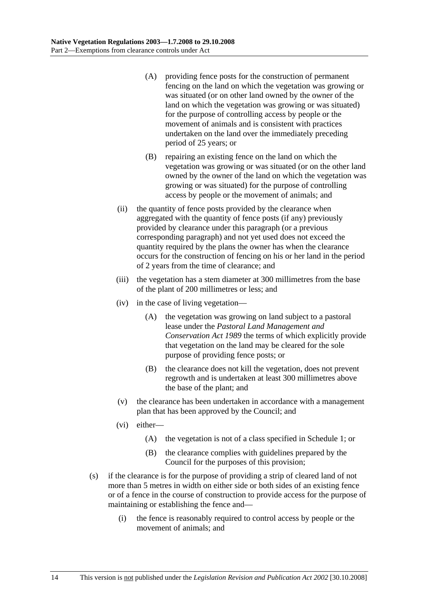- (A) providing fence posts for the construction of permanent fencing on the land on which the vegetation was growing or was situated (or on other land owned by the owner of the land on which the vegetation was growing or was situated) for the purpose of controlling access by people or the movement of animals and is consistent with practices undertaken on the land over the immediately preceding period of 25 years; or
- (B) repairing an existing fence on the land on which the vegetation was growing or was situated (or on the other land owned by the owner of the land on which the vegetation was growing or was situated) for the purpose of controlling access by people or the movement of animals; and
- (ii) the quantity of fence posts provided by the clearance when aggregated with the quantity of fence posts (if any) previously provided by clearance under this paragraph (or a previous corresponding paragraph) and not yet used does not exceed the quantity required by the plans the owner has when the clearance occurs for the construction of fencing on his or her land in the period of 2 years from the time of clearance; and
- (iii) the vegetation has a stem diameter at 300 millimetres from the base of the plant of 200 millimetres or less; and
- (iv) in the case of living vegetation—
	- (A) the vegetation was growing on land subject to a pastoral lease under the *Pastoral Land Management and Conservation Act 1989* the terms of which explicitly provide that vegetation on the land may be cleared for the sole purpose of providing fence posts; or
	- (B) the clearance does not kill the vegetation, does not prevent regrowth and is undertaken at least 300 millimetres above the base of the plant; and
- (v) the clearance has been undertaken in accordance with a management plan that has been approved by the Council; and
- (vi) either—
	- (A) the vegetation is not of a class specified in Schedule 1; or
	- (B) the clearance complies with guidelines prepared by the Council for the purposes of this provision;
- (s) if the clearance is for the purpose of providing a strip of cleared land of not more than 5 metres in width on either side or both sides of an existing fence or of a fence in the course of construction to provide access for the purpose of maintaining or establishing the fence and—
	- (i) the fence is reasonably required to control access by people or the movement of animals; and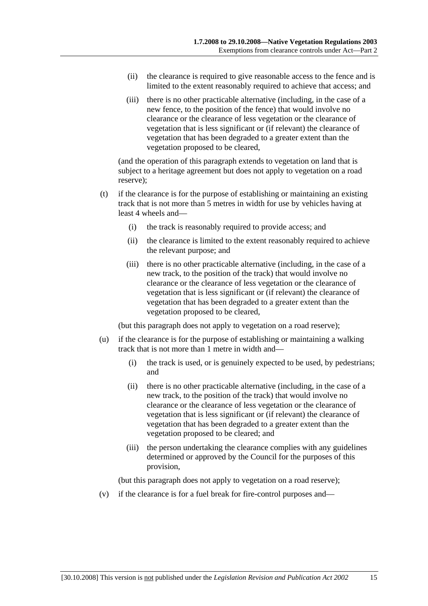- (ii) the clearance is required to give reasonable access to the fence and is limited to the extent reasonably required to achieve that access; and
- (iii) there is no other practicable alternative (including, in the case of a new fence, to the position of the fence) that would involve no clearance or the clearance of less vegetation or the clearance of vegetation that is less significant or (if relevant) the clearance of vegetation that has been degraded to a greater extent than the vegetation proposed to be cleared,

(and the operation of this paragraph extends to vegetation on land that is subject to a heritage agreement but does not apply to vegetation on a road reserve);

- (t) if the clearance is for the purpose of establishing or maintaining an existing track that is not more than 5 metres in width for use by vehicles having at least 4 wheels and—
	- (i) the track is reasonably required to provide access; and
	- (ii) the clearance is limited to the extent reasonably required to achieve the relevant purpose; and
	- (iii) there is no other practicable alternative (including, in the case of a new track, to the position of the track) that would involve no clearance or the clearance of less vegetation or the clearance of vegetation that is less significant or (if relevant) the clearance of vegetation that has been degraded to a greater extent than the vegetation proposed to be cleared,

(but this paragraph does not apply to vegetation on a road reserve);

- (u) if the clearance is for the purpose of establishing or maintaining a walking track that is not more than 1 metre in width and—
	- (i) the track is used, or is genuinely expected to be used, by pedestrians; and
	- (ii) there is no other practicable alternative (including, in the case of a new track, to the position of the track) that would involve no clearance or the clearance of less vegetation or the clearance of vegetation that is less significant or (if relevant) the clearance of vegetation that has been degraded to a greater extent than the vegetation proposed to be cleared; and
	- (iii) the person undertaking the clearance complies with any guidelines determined or approved by the Council for the purposes of this provision,

(but this paragraph does not apply to vegetation on a road reserve);

(v) if the clearance is for a fuel break for fire-control purposes and—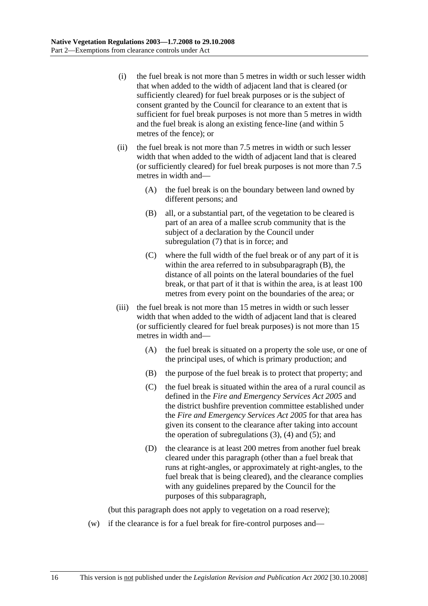- (i) the fuel break is not more than 5 metres in width or such lesser width that when added to the width of adjacent land that is cleared (or sufficiently cleared) for fuel break purposes or is the subject of consent granted by the Council for clearance to an extent that is sufficient for fuel break purposes is not more than 5 metres in width and the fuel break is along an existing fence-line (and within 5 metres of the fence); or
- (ii) the fuel break is not more than 7.5 metres in width or such lesser width that when added to the width of adjacent land that is cleared (or sufficiently cleared) for fuel break purposes is not more than 7.5 metres in width and—
	- (A) the fuel break is on the boundary between land owned by different persons; and
	- (B) all, or a substantial part, of the vegetation to be cleared is part of an area of a mallee scrub community that is the subject of a declaration by the Council under subregulation (7) that is in force; and
	- (C) where the full width of the fuel break or of any part of it is within the area referred to in subsubparagraph (B), the distance of all points on the lateral boundaries of the fuel break, or that part of it that is within the area, is at least 100 metres from every point on the boundaries of the area; or
- (iii) the fuel break is not more than 15 metres in width or such lesser width that when added to the width of adjacent land that is cleared (or sufficiently cleared for fuel break purposes) is not more than 15 metres in width and—
	- (A) the fuel break is situated on a property the sole use, or one of the principal uses, of which is primary production; and
	- (B) the purpose of the fuel break is to protect that property; and
	- (C) the fuel break is situated within the area of a rural council as defined in the *Fire and Emergency Services Act 2005* and the district bushfire prevention committee established under the *Fire and Emergency Services Act 2005* for that area has given its consent to the clearance after taking into account the operation of subregulations  $(3)$ ,  $(4)$  and  $(5)$ ; and
	- (D) the clearance is at least 200 metres from another fuel break cleared under this paragraph (other than a fuel break that runs at right-angles, or approximately at right-angles, to the fuel break that is being cleared), and the clearance complies with any guidelines prepared by the Council for the purposes of this subparagraph,

(but this paragraph does not apply to vegetation on a road reserve);

(w) if the clearance is for a fuel break for fire-control purposes and—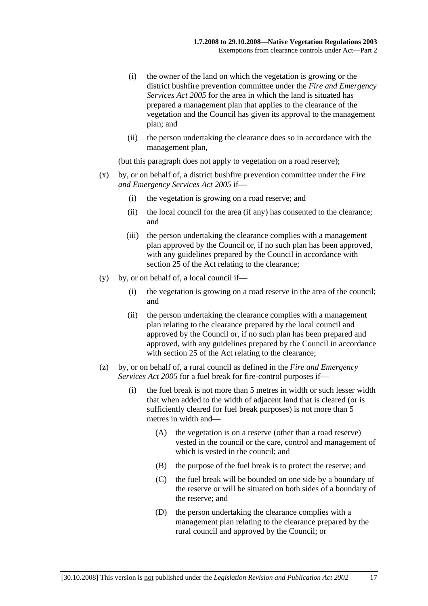- (i) the owner of the land on which the vegetation is growing or the district bushfire prevention committee under the *Fire and Emergency Services Act 2005* for the area in which the land is situated has prepared a management plan that applies to the clearance of the vegetation and the Council has given its approval to the management plan; and
- (ii) the person undertaking the clearance does so in accordance with the management plan,

(but this paragraph does not apply to vegetation on a road reserve);

- (x) by, or on behalf of, a district bushfire prevention committee under the *Fire and Emergency Services Act 2005* if—
	- (i) the vegetation is growing on a road reserve; and
	- (ii) the local council for the area (if any) has consented to the clearance; and
	- (iii) the person undertaking the clearance complies with a management plan approved by the Council or, if no such plan has been approved, with any guidelines prepared by the Council in accordance with section 25 of the Act relating to the clearance:
- (y) by, or on behalf of, a local council if—
	- (i) the vegetation is growing on a road reserve in the area of the council; and
	- (ii) the person undertaking the clearance complies with a management plan relating to the clearance prepared by the local council and approved by the Council or, if no such plan has been prepared and approved, with any guidelines prepared by the Council in accordance with section 25 of the Act relating to the clearance;
- (z) by, or on behalf of, a rural council as defined in the *Fire and Emergency Services Act 2005* for a fuel break for fire-control purposes if—
	- (i) the fuel break is not more than 5 metres in width or such lesser width that when added to the width of adjacent land that is cleared (or is sufficiently cleared for fuel break purposes) is not more than 5 metres in width and—
		- (A) the vegetation is on a reserve (other than a road reserve) vested in the council or the care, control and management of which is vested in the council; and
		- (B) the purpose of the fuel break is to protect the reserve; and
		- (C) the fuel break will be bounded on one side by a boundary of the reserve or will be situated on both sides of a boundary of the reserve; and
		- (D) the person undertaking the clearance complies with a management plan relating to the clearance prepared by the rural council and approved by the Council; or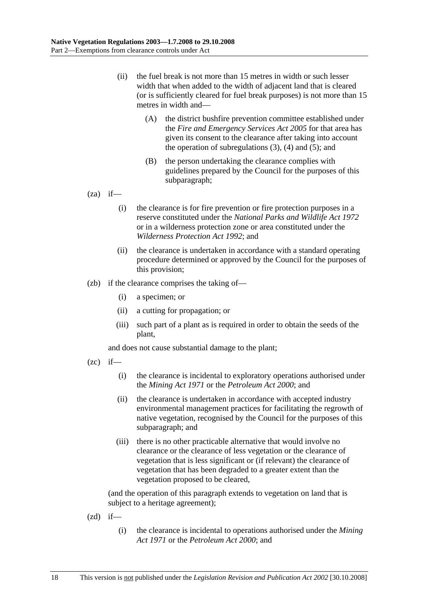- (ii) the fuel break is not more than 15 metres in width or such lesser width that when added to the width of adjacent land that is cleared (or is sufficiently cleared for fuel break purposes) is not more than 15 metres in width and—
	- (A) the district bushfire prevention committee established under the *Fire and Emergency Services Act 2005* for that area has given its consent to the clearance after taking into account the operation of subregulations  $(3)$ ,  $(4)$  and  $(5)$ ; and
	- (B) the person undertaking the clearance complies with guidelines prepared by the Council for the purposes of this subparagraph;

 $(za)$  if—

- (i) the clearance is for fire prevention or fire protection purposes in a reserve constituted under the *National Parks and Wildlife Act 1972* or in a wilderness protection zone or area constituted under the *Wilderness Protection Act 1992*; and
- (ii) the clearance is undertaken in accordance with a standard operating procedure determined or approved by the Council for the purposes of this provision;
- (zb) if the clearance comprises the taking of—
	- (i) a specimen; or
	- (ii) a cutting for propagation; or
	- (iii) such part of a plant as is required in order to obtain the seeds of the plant,

and does not cause substantial damage to the plant;

- $(zc)$  if—
	- (i) the clearance is incidental to exploratory operations authorised under the *Mining Act 1971* or the *Petroleum Act 2000*; and
	- (ii) the clearance is undertaken in accordance with accepted industry environmental management practices for facilitating the regrowth of native vegetation, recognised by the Council for the purposes of this subparagraph; and
	- (iii) there is no other practicable alternative that would involve no clearance or the clearance of less vegetation or the clearance of vegetation that is less significant or (if relevant) the clearance of vegetation that has been degraded to a greater extent than the vegetation proposed to be cleared,

- $(zd)$  if—
	- (i) the clearance is incidental to operations authorised under the *Mining Act 1971* or the *Petroleum Act 2000*; and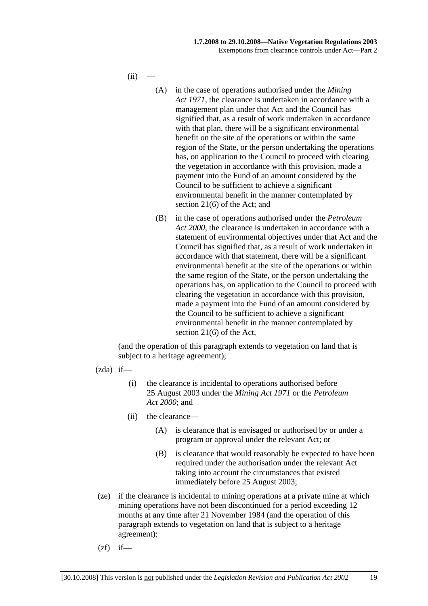$(ii)$ 

- (A) in the case of operations authorised under the *Mining Act 1971*, the clearance is undertaken in accordance with a management plan under that Act and the Council has signified that, as a result of work undertaken in accordance with that plan, there will be a significant environmental benefit on the site of the operations or within the same region of the State, or the person undertaking the operations has, on application to the Council to proceed with clearing the vegetation in accordance with this provision, made a payment into the Fund of an amount considered by the Council to be sufficient to achieve a significant environmental benefit in the manner contemplated by section 21(6) of the Act; and
- (B) in the case of operations authorised under the *Petroleum Act 2000*, the clearance is undertaken in accordance with a statement of environmental objectives under that Act and the Council has signified that, as a result of work undertaken in accordance with that statement, there will be a significant environmental benefit at the site of the operations or within the same region of the State, or the person undertaking the operations has, on application to the Council to proceed with clearing the vegetation in accordance with this provision, made a payment into the Fund of an amount considered by the Council to be sufficient to achieve a significant environmental benefit in the manner contemplated by section 21(6) of the Act,

- $(zda)$  if—
	- (i) the clearance is incidental to operations authorised before 25 August 2003 under the *Mining Act 1971* or the *Petroleum Act 2000*; and
	- (ii) the clearance—
		- (A) is clearance that is envisaged or authorised by or under a program or approval under the relevant Act; or
		- (B) is clearance that would reasonably be expected to have been required under the authorisation under the relevant Act taking into account the circumstances that existed immediately before 25 August 2003;
- (ze) if the clearance is incidental to mining operations at a private mine at which mining operations have not been discontinued for a period exceeding 12 months at any time after 21 November 1984 (and the operation of this paragraph extends to vegetation on land that is subject to a heritage agreement);
- $(zf)$  if—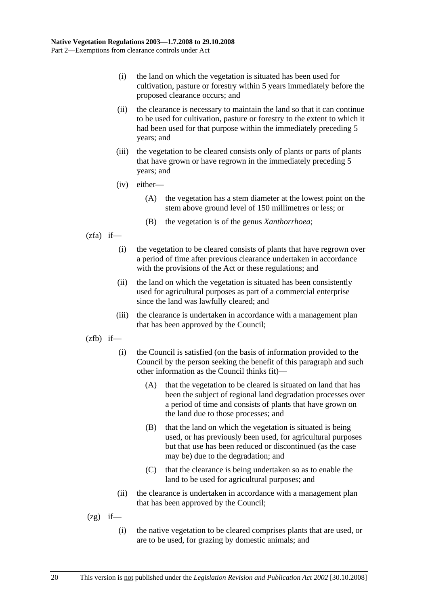- (i) the land on which the vegetation is situated has been used for cultivation, pasture or forestry within 5 years immediately before the proposed clearance occurs; and
- (ii) the clearance is necessary to maintain the land so that it can continue to be used for cultivation, pasture or forestry to the extent to which it had been used for that purpose within the immediately preceding 5 years; and
- (iii) the vegetation to be cleared consists only of plants or parts of plants that have grown or have regrown in the immediately preceding 5 years; and
- (iv) either—
	- (A) the vegetation has a stem diameter at the lowest point on the stem above ground level of 150 millimetres or less; or
	- (B) the vegetation is of the genus *Xanthorrhoea*;
- $(zfa)$  if—
	- (i) the vegetation to be cleared consists of plants that have regrown over a period of time after previous clearance undertaken in accordance with the provisions of the Act or these regulations; and
	- (ii) the land on which the vegetation is situated has been consistently used for agricultural purposes as part of a commercial enterprise since the land was lawfully cleared; and
	- (iii) the clearance is undertaken in accordance with a management plan that has been approved by the Council;
- $(zfb)$  if—
	- (i) the Council is satisfied (on the basis of information provided to the Council by the person seeking the benefit of this paragraph and such other information as the Council thinks fit)—
		- (A) that the vegetation to be cleared is situated on land that has been the subject of regional land degradation processes over a period of time and consists of plants that have grown on the land due to those processes; and
		- (B) that the land on which the vegetation is situated is being used, or has previously been used, for agricultural purposes but that use has been reduced or discontinued (as the case may be) due to the degradation; and
		- (C) that the clearance is being undertaken so as to enable the land to be used for agricultural purposes; and
	- (ii) the clearance is undertaken in accordance with a management plan that has been approved by the Council;
- $(2g)$  if—
	- (i) the native vegetation to be cleared comprises plants that are used, or are to be used, for grazing by domestic animals; and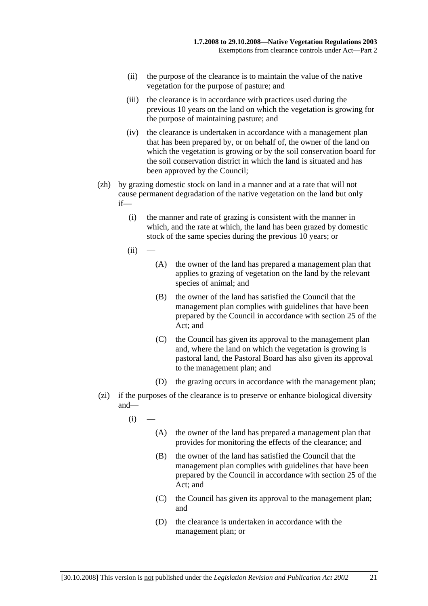- (ii) the purpose of the clearance is to maintain the value of the native vegetation for the purpose of pasture; and
- (iii) the clearance is in accordance with practices used during the previous 10 years on the land on which the vegetation is growing for the purpose of maintaining pasture; and
- (iv) the clearance is undertaken in accordance with a management plan that has been prepared by, or on behalf of, the owner of the land on which the vegetation is growing or by the soil conservation board for the soil conservation district in which the land is situated and has been approved by the Council;
- (zh) by grazing domestic stock on land in a manner and at a rate that will not cause permanent degradation of the native vegetation on the land but only if—
	- (i) the manner and rate of grazing is consistent with the manner in which, and the rate at which, the land has been grazed by domestic stock of the same species during the previous 10 years; or
	- $(ii)$
- (A) the owner of the land has prepared a management plan that applies to grazing of vegetation on the land by the relevant species of animal; and
- (B) the owner of the land has satisfied the Council that the management plan complies with guidelines that have been prepared by the Council in accordance with section 25 of the Act; and
- (C) the Council has given its approval to the management plan and, where the land on which the vegetation is growing is pastoral land, the Pastoral Board has also given its approval to the management plan; and
- (D) the grazing occurs in accordance with the management plan;
- (zi) if the purposes of the clearance is to preserve or enhance biological diversity and—
	- $(i)$ 
		- (A) the owner of the land has prepared a management plan that provides for monitoring the effects of the clearance; and
		- (B) the owner of the land has satisfied the Council that the management plan complies with guidelines that have been prepared by the Council in accordance with section 25 of the Act; and
		- (C) the Council has given its approval to the management plan; and
		- (D) the clearance is undertaken in accordance with the management plan; or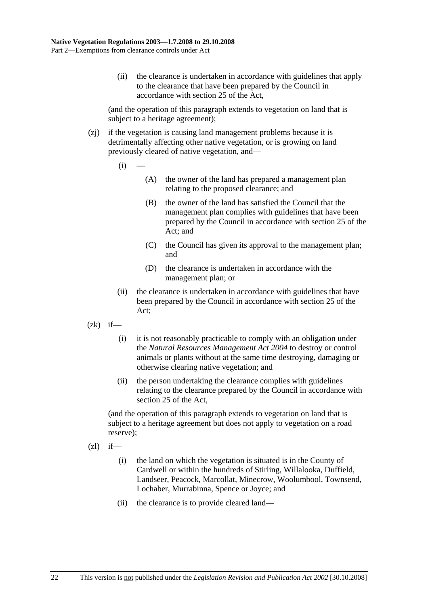(ii) the clearance is undertaken in accordance with guidelines that apply to the clearance that have been prepared by the Council in accordance with section 25 of the Act,

(and the operation of this paragraph extends to vegetation on land that is subject to a heritage agreement);

- (zj) if the vegetation is causing land management problems because it is detrimentally affecting other native vegetation, or is growing on land previously cleared of native vegetation, and—
	- $(i)$ 
		- (A) the owner of the land has prepared a management plan relating to the proposed clearance; and
		- (B) the owner of the land has satisfied the Council that the management plan complies with guidelines that have been prepared by the Council in accordance with section 25 of the Act; and
		- (C) the Council has given its approval to the management plan; and
		- (D) the clearance is undertaken in accordance with the management plan; or
	- (ii) the clearance is undertaken in accordance with guidelines that have been prepared by the Council in accordance with section 25 of the Act;
- $(zk)$  if—
	- (i) it is not reasonably practicable to comply with an obligation under the *Natural Resources Management Act 2004* to destroy or control animals or plants without at the same time destroying, damaging or otherwise clearing native vegetation; and
	- (ii) the person undertaking the clearance complies with guidelines relating to the clearance prepared by the Council in accordance with section 25 of the Act,

(and the operation of this paragraph extends to vegetation on land that is subject to a heritage agreement but does not apply to vegetation on a road reserve);

- $(zl)$  if—
	- (i) the land on which the vegetation is situated is in the County of Cardwell or within the hundreds of Stirling, Willalooka, Duffield, Landseer, Peacock, Marcollat, Minecrow, Woolumbool, Townsend, Lochaber, Murrabinna, Spence or Joyce; and
	- (ii) the clearance is to provide cleared land—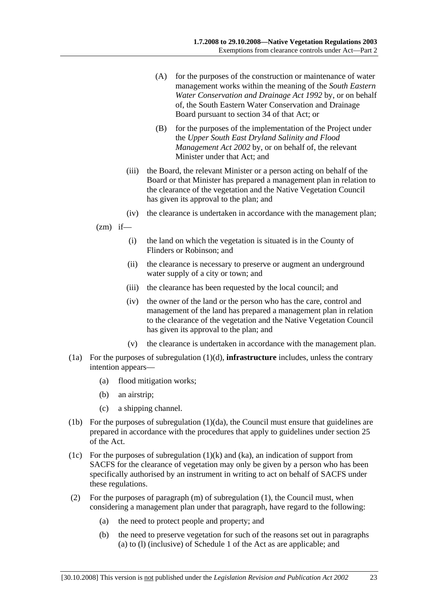- (A) for the purposes of the construction or maintenance of water management works within the meaning of the *South Eastern Water Conservation and Drainage Act 1992* by, or on behalf of, the South Eastern Water Conservation and Drainage Board pursuant to section 34 of that Act; or
- (B) for the purposes of the implementation of the Project under the *Upper South East Dryland Salinity and Flood Management Act 2002* by, or on behalf of, the relevant Minister under that Act; and
- (iii) the Board, the relevant Minister or a person acting on behalf of the Board or that Minister has prepared a management plan in relation to the clearance of the vegetation and the Native Vegetation Council has given its approval to the plan; and
- (iv) the clearance is undertaken in accordance with the management plan;
- $(zm)$  if—
	- (i) the land on which the vegetation is situated is in the County of Flinders or Robinson; and
	- (ii) the clearance is necessary to preserve or augment an underground water supply of a city or town; and
	- (iii) the clearance has been requested by the local council; and
	- (iv) the owner of the land or the person who has the care, control and management of the land has prepared a management plan in relation to the clearance of the vegetation and the Native Vegetation Council has given its approval to the plan; and
	- (v) the clearance is undertaken in accordance with the management plan.
- (1a) For the purposes of subregulation (1)(d), **infrastructure** includes, unless the contrary intention appears—
	- (a) flood mitigation works;
	- (b) an airstrip;
	- (c) a shipping channel.
- (1b) For the purposes of subregulation (1)(da), the Council must ensure that guidelines are prepared in accordance with the procedures that apply to guidelines under section 25 of the Act.
- (1c) For the purposes of subregulation  $(1)(k)$  and  $(ka)$ , an indication of support from SACFS for the clearance of vegetation may only be given by a person who has been specifically authorised by an instrument in writing to act on behalf of SACFS under these regulations.
- (2) For the purposes of paragraph (m) of subregulation (1), the Council must, when considering a management plan under that paragraph, have regard to the following:
	- (a) the need to protect people and property; and
	- (b) the need to preserve vegetation for such of the reasons set out in paragraphs (a) to (l) (inclusive) of Schedule 1 of the Act as are applicable; and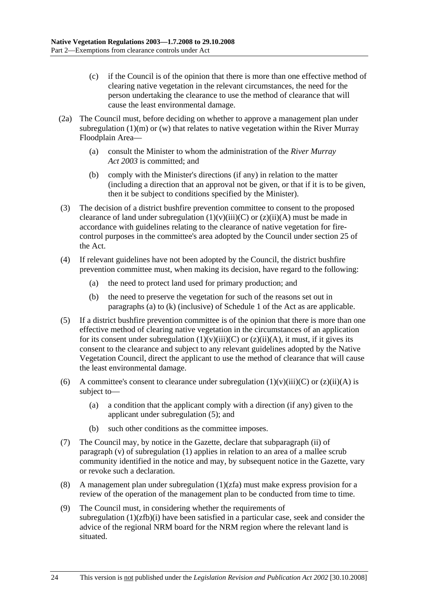- (c) if the Council is of the opinion that there is more than one effective method of clearing native vegetation in the relevant circumstances, the need for the person undertaking the clearance to use the method of clearance that will cause the least environmental damage.
- (2a) The Council must, before deciding on whether to approve a management plan under subregulation  $(1)(m)$  or  $(w)$  that relates to native vegetation within the River Murray Floodplain Area—
	- (a) consult the Minister to whom the administration of the *River Murray Act 2003* is committed; and
	- (b) comply with the Minister's directions (if any) in relation to the matter (including a direction that an approval not be given, or that if it is to be given, then it be subject to conditions specified by the Minister).
- (3) The decision of a district bushfire prevention committee to consent to the proposed clearance of land under subregulation  $(1)(v)(iii)(C)$  or  $(z)(ii)(A)$  must be made in accordance with guidelines relating to the clearance of native vegetation for firecontrol purposes in the committee's area adopted by the Council under section 25 of the Act.
- (4) If relevant guidelines have not been adopted by the Council, the district bushfire prevention committee must, when making its decision, have regard to the following:
	- (a) the need to protect land used for primary production; and
	- (b) the need to preserve the vegetation for such of the reasons set out in paragraphs (a) to (k) (inclusive) of Schedule 1 of the Act as are applicable.
- (5) If a district bushfire prevention committee is of the opinion that there is more than one effective method of clearing native vegetation in the circumstances of an application for its consent under subregulation  $(1)(v)(iii)(C)$  or  $(z)(ii)(A)$ , it must, if it gives its consent to the clearance and subject to any relevant guidelines adopted by the Native Vegetation Council, direct the applicant to use the method of clearance that will cause the least environmental damage.
- (6) A committee's consent to clearance under subregulation  $(1)(v)(iii)(C)$  or  $(z)(ii)(A)$  is subject to—
	- (a) a condition that the applicant comply with a direction (if any) given to the applicant under subregulation (5); and
	- (b) such other conditions as the committee imposes.
- (7) The Council may, by notice in the Gazette, declare that subparagraph (ii) of paragraph (v) of subregulation (1) applies in relation to an area of a mallee scrub community identified in the notice and may, by subsequent notice in the Gazette, vary or revoke such a declaration.
- (8) A management plan under subregulation  $(1)(zfa)$  must make express provision for a review of the operation of the management plan to be conducted from time to time.
- (9) The Council must, in considering whether the requirements of subregulation  $(1)(zfb)(i)$  have been satisfied in a particular case, seek and consider the advice of the regional NRM board for the NRM region where the relevant land is situated.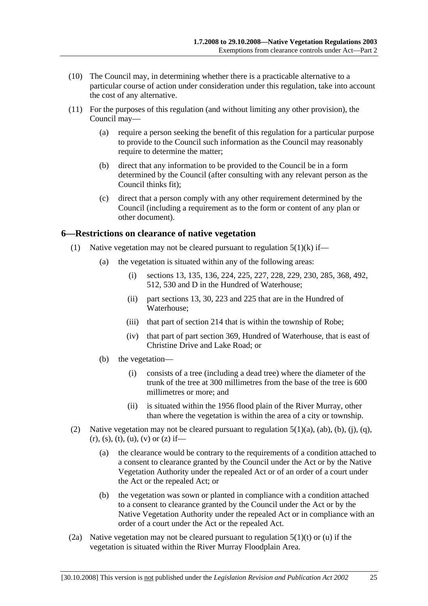- (10) The Council may, in determining whether there is a practicable alternative to a particular course of action under consideration under this regulation, take into account the cost of any alternative.
- (11) For the purposes of this regulation (and without limiting any other provision), the Council may—
	- (a) require a person seeking the benefit of this regulation for a particular purpose to provide to the Council such information as the Council may reasonably require to determine the matter;
	- (b) direct that any information to be provided to the Council be in a form determined by the Council (after consulting with any relevant person as the Council thinks fit);
	- (c) direct that a person comply with any other requirement determined by the Council (including a requirement as to the form or content of any plan or other document).

### **6—Restrictions on clearance of native vegetation**

- (1) Native vegetation may not be cleared pursuant to regulation  $5(1)(k)$  if—
	- (a) the vegetation is situated within any of the following areas:
		- (i) sections 13, 135, 136, 224, 225, 227, 228, 229, 230, 285, 368, 492, 512, 530 and D in the Hundred of Waterhouse;
		- (ii) part sections 13, 30, 223 and 225 that are in the Hundred of Waterhouse;
		- (iii) that part of section 214 that is within the township of Robe;
		- (iv) that part of part section 369, Hundred of Waterhouse, that is east of Christine Drive and Lake Road; or
	- (b) the vegetation—
		- (i) consists of a tree (including a dead tree) where the diameter of the trunk of the tree at 300 millimetres from the base of the tree is 600 millimetres or more; and
		- (ii) is situated within the 1956 flood plain of the River Murray, other than where the vegetation is within the area of a city or township.
- (2) Native vegetation may not be cleared pursuant to regulation  $5(1)(a)$ ,  $(ab)$ ,  $(b)$ ,  $(i)$ ,  $(q)$ ,  $(r)$ , (s), (t), (u), (v) or (z) if—
	- (a) the clearance would be contrary to the requirements of a condition attached to a consent to clearance granted by the Council under the Act or by the Native Vegetation Authority under the repealed Act or of an order of a court under the Act or the repealed Act; or
	- (b) the vegetation was sown or planted in compliance with a condition attached to a consent to clearance granted by the Council under the Act or by the Native Vegetation Authority under the repealed Act or in compliance with an order of a court under the Act or the repealed Act.
- (2a) Native vegetation may not be cleared pursuant to regulation  $5(1)(t)$  or (u) if the vegetation is situated within the River Murray Floodplain Area.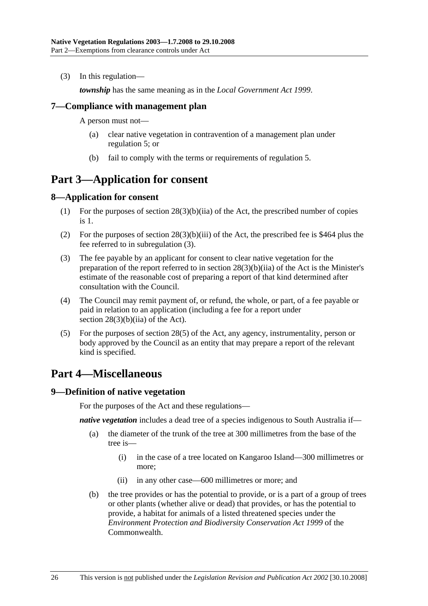(3) In this regulation—

*township* has the same meaning as in the *Local Government Act 1999*.

### **7—Compliance with management plan**

A person must not—

- (a) clear native vegetation in contravention of a management plan under regulation 5; or
- (b) fail to comply with the terms or requirements of regulation 5.

## **Part 3—Application for consent**

### **8—Application for consent**

- (1) For the purposes of section 28(3)(b)(iia) of the Act, the prescribed number of copies is 1.
- (2) For the purposes of section  $28(3)(b)(iii)$  of the Act, the prescribed fee is \$464 plus the fee referred to in subregulation (3).
- (3) The fee payable by an applicant for consent to clear native vegetation for the preparation of the report referred to in section 28(3)(b)(iia) of the Act is the Minister's estimate of the reasonable cost of preparing a report of that kind determined after consultation with the Council.
- (4) The Council may remit payment of, or refund, the whole, or part, of a fee payable or paid in relation to an application (including a fee for a report under section 28(3)(b)(iia) of the Act).
- (5) For the purposes of section 28(5) of the Act, any agency, instrumentality, person or body approved by the Council as an entity that may prepare a report of the relevant kind is specified.

## **Part 4—Miscellaneous**

#### **9—Definition of native vegetation**

For the purposes of the Act and these regulations—

*native vegetation* includes a dead tree of a species indigenous to South Australia if—

- (a) the diameter of the trunk of the tree at 300 millimetres from the base of the tree is—
	- (i) in the case of a tree located on Kangaroo Island—300 millimetres or more;
	- (ii) in any other case—600 millimetres or more; and
- (b) the tree provides or has the potential to provide, or is a part of a group of trees or other plants (whether alive or dead) that provides, or has the potential to provide, a habitat for animals of a listed threatened species under the *Environment Protection and Biodiversity Conservation Act 1999* of the **Commonwealth**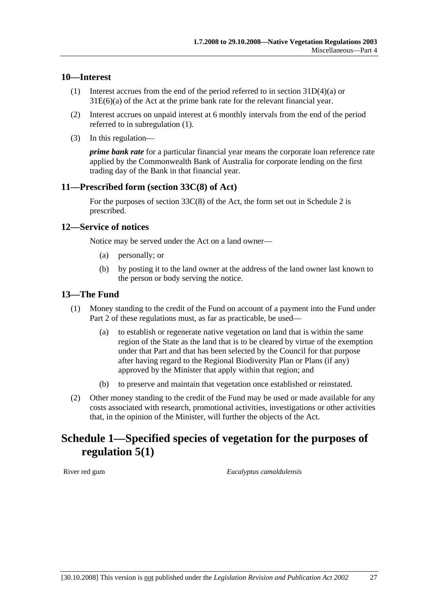### **10—Interest**

- (1) Interest accrues from the end of the period referred to in section 31D(4)(a) or 31E(6)(a) of the Act at the prime bank rate for the relevant financial year.
- (2) Interest accrues on unpaid interest at 6 monthly intervals from the end of the period referred to in subregulation (1).
- (3) In this regulation—

*prime bank rate* for a particular financial year means the corporate loan reference rate applied by the Commonwealth Bank of Australia for corporate lending on the first trading day of the Bank in that financial year.

### **11—Prescribed form (section 33C(8) of Act)**

For the purposes of section  $33C(8)$  of the Act, the form set out in Schedule 2 is prescribed.

#### **12—Service of notices**

Notice may be served under the Act on a land owner—

- (a) personally; or
- (b) by posting it to the land owner at the address of the land owner last known to the person or body serving the notice.

### **13—The Fund**

- (1) Money standing to the credit of the Fund on account of a payment into the Fund under Part 2 of these regulations must, as far as practicable, be used—
	- (a) to establish or regenerate native vegetation on land that is within the same region of the State as the land that is to be cleared by virtue of the exemption under that Part and that has been selected by the Council for that purpose after having regard to the Regional Biodiversity Plan or Plans (if any) approved by the Minister that apply within that region; and
	- (b) to preserve and maintain that vegetation once established or reinstated.
- (2) Other money standing to the credit of the Fund may be used or made available for any costs associated with research, promotional activities, investigations or other activities that, in the opinion of the Minister, will further the objects of the Act.

## **Schedule 1—Specified species of vegetation for the purposes of regulation 5(1)**

River red gum *Eucalyptus camaldulensis*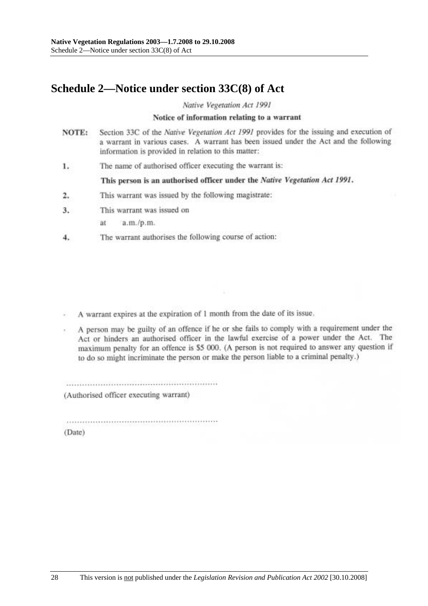# **Schedule 2—Notice under section 33C(8) of Act**

Native Vegetation Act 1991

#### Notice of information relating to a warrant

- Section 33C of the Native Vegetation Act 1991 provides for the issuing and execution of NOTE: a warrant in various cases. A warrant has been issued under the Act and the following information is provided in relation to this matter:
- The name of authorised officer executing the warrant is: 1.

This person is an authorised officer under the Native Vegetation Act 1991.

- This warrant was issued by the following magistrate:  $2.$
- This warrant was issued on  $3.$ 
	- ät a.m./p.m.
- The warrant authorises the following course of action: 4.

A warrant expires at the expiration of 1 month from the date of its issue.

A person may be guilty of an offence if he or she fails to comply with a requirement under the Act or hinders an authorised officer in the lawful exercise of a power under the Act. The maximum penalty for an offence is \$5 000. (A person is not required to answer any question if to do so might incriminate the person or make the person liable to a criminal penalty.)

(Authorised officer executing warrant)

(Date)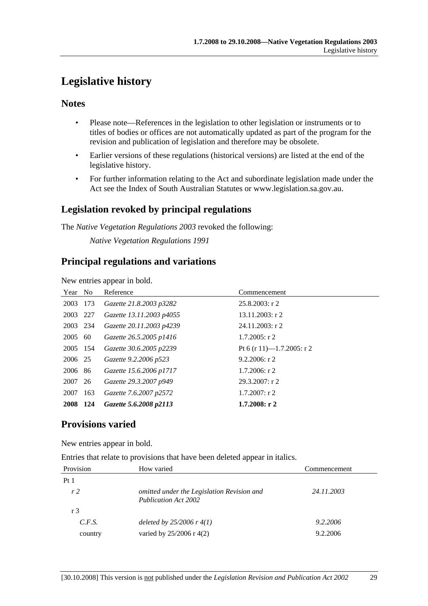# **Legislative history**

### **Notes**

- Please note—References in the legislation to other legislation or instruments or to titles of bodies or offices are not automatically updated as part of the program for the revision and publication of legislation and therefore may be obsolete.
- Earlier versions of these regulations (historical versions) are listed at the end of the legislative history.
- For further information relating to the Act and subordinate legislation made under the Act see the Index of South Australian Statutes or www.legislation.sa.gov.au.

## **Legislation revoked by principal regulations**

The *Native Vegetation Regulations 2003* revoked the following:

*Native Vegetation Regulations 1991*

### **Principal regulations and variations**

New entries appear in bold.

| Year No  |      | Reference                | Commencement              |
|----------|------|--------------------------|---------------------------|
| 2003     | 173  | Gazette 21.8.2003 p3282  | $25.8.2003$ : r 2         |
| 2003 227 |      | Gazette 13.11.2003 p4055 | $13.11.2003$ : r 2        |
| 2003 234 |      | Gazette 20.11.2003 p4239 | $24.11.2003$ : r 2        |
| 2005     | 60   | Gazette 26.5.2005 p1416  | $1.7.2005$ : r 2          |
| 2005 154 |      | Gazette 30.6.2005 p2239  | Pt 6 (r 11)—1.7.2005: r 2 |
| 2006 25  |      | Gazette 9.2.2006 p523    | $9.2.2006$ : r 2          |
| 2006 86  |      | Gazette 15.6.2006 p1717  | $1.7.2006$ : r 2          |
| 2007 26  |      | Gazette 29.3.2007 p949   | 29.3.2007: r2             |
| 2007     | 163  | Gazette 7.6.2007 p2572   | $1.7.2007$ : r 2          |
| 2008     | -124 | Gazette 5.6.2008 p2113   | $1.7.2008:$ r 2           |

### **Provisions varied**

New entries appear in bold.

Entries that relate to provisions that have been deleted appear in italics.

| Provision      | How varied                                                                | Commencement |
|----------------|---------------------------------------------------------------------------|--------------|
| Pt1            |                                                                           |              |
| r <sub>2</sub> | omitted under the Legislation Revision and<br><b>Publication Act 2002</b> | 24.11.2003   |
| r 3            |                                                                           |              |
| C.F.S.         | deleted by $25/2006$ r 4(1)                                               | 9.2.2006     |
| country        | varied by 25/2006 r 4(2)                                                  | 9.2.2006     |